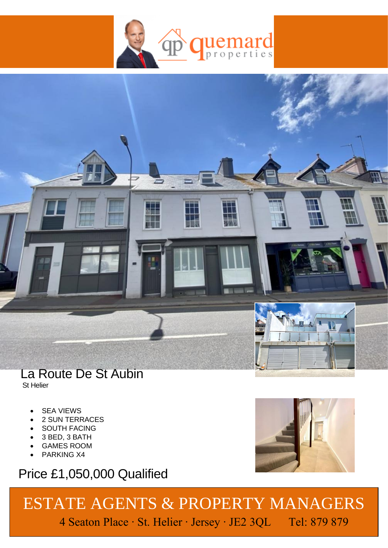



## La Route De St Aubin

St Helier

- **SEA VIEWS**
- 2 SUN TERRACES
- SOUTH FACING
- 3 BED, 3 BATH
- GAMES ROOM
- PARKING X4

## Price £1,050,000 Qualified



## ESTATE AGENTS & PROPERTY MANAGERS 4 Seaton Place ∙ St. Helier ∙ Jersey ∙ JE2 3QL Tel: 879 879